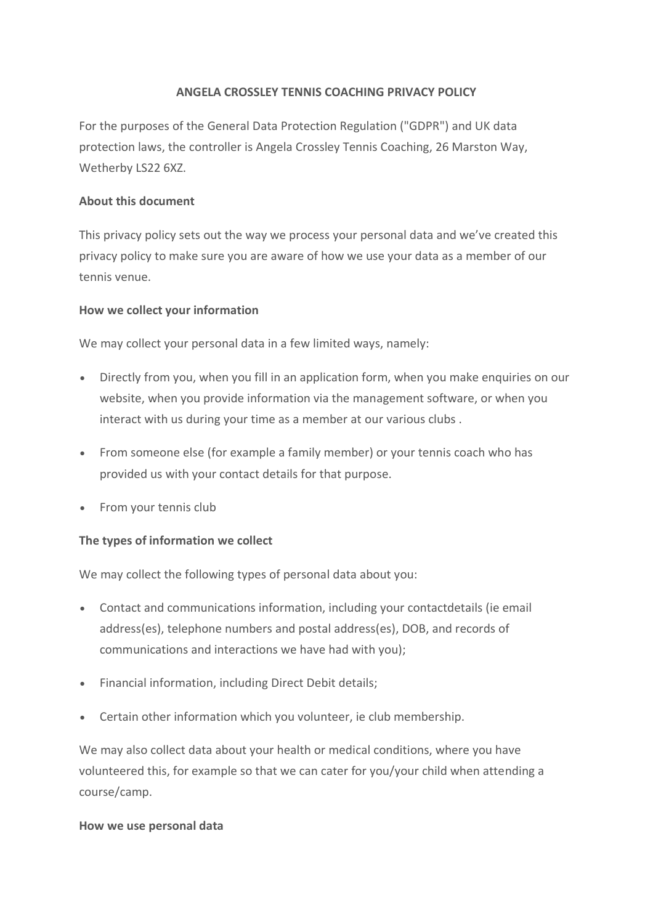# **ANGELA CROSSLEY TENNIS COACHING PRIVACY POLICY**

For the purposes of the General Data Protection Regulation ("GDPR") and UK data protection laws, the controller is Angela Crossley Tennis Coaching, 26 Marston Way, Wetherby LS22 6XZ.

#### **About this document**

This privacy policy sets out the way we process your personal data and we've created this privacy policy to make sure you are aware of how we use your data as a member of our tennis venue.

#### **How we collect your information**

We may collect your personal data in a few limited ways, namely:

- Directly from you, when you fill in an application form, when you make enquiries on our website, when you provide information via the management software, or when you interact with us during your time as a member at our various clubs .
- From someone else (for example a family member) or your tennis coach who has provided us with your contact details for that purpose.
- From your tennis club

# **The types of information we collect**

We may collect the following types of personal data about you:

- Contact and communications information, including your contactdetails (ie email address(es), telephone numbers and postal address(es), DOB, and records of communications and interactions we have had with you);
- Financial information, including Direct Debit details;
- Certain other information which you volunteer, ie club membership.

We may also collect data about your health or medical conditions, where you have volunteered this, for example so that we can cater for you/your child when attending a course/camp.

#### **How we use personal data**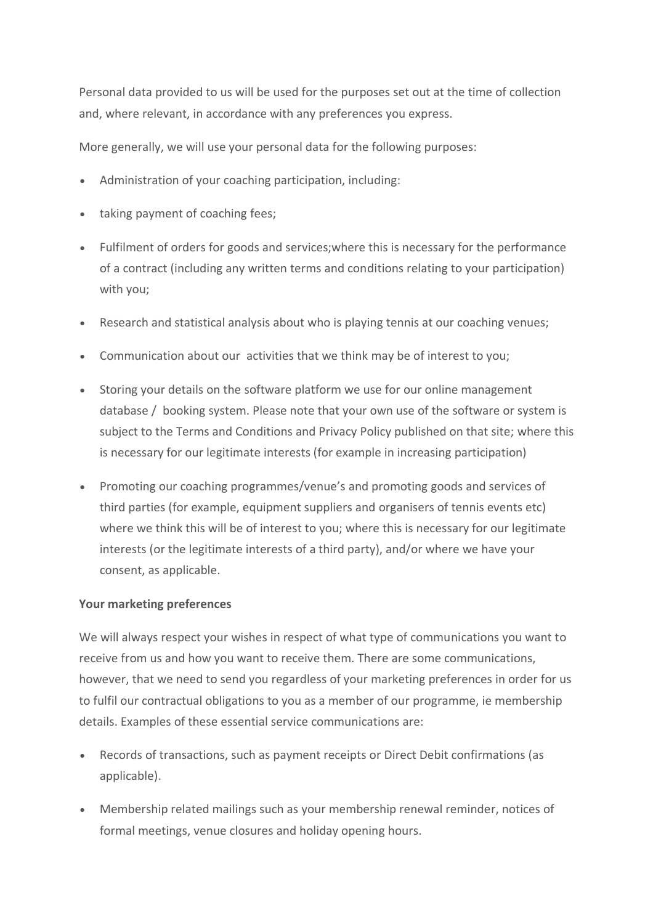Personal data provided to us will be used for the purposes set out at the time of collection and, where relevant, in accordance with any preferences you express.

More generally, we will use your personal data for the following purposes:

- Administration of your coaching participation, including:
- taking payment of coaching fees;
- Fulfilment of orders for goods and services;where this is necessary for the performance of a contract (including any written terms and conditions relating to your participation) with you;
- Research and statistical analysis about who is playing tennis at our coaching venues;
- Communication about our activities that we think may be of interest to you;
- Storing your details on the software platform we use for our online management database / booking system. Please note that your own use of the software or system is subject to the Terms and Conditions and Privacy Policy published on that site; where this is necessary for our legitimate interests (for example in increasing participation)
- Promoting our coaching programmes/venue's and promoting goods and services of third parties (for example, equipment suppliers and organisers of tennis events etc) where we think this will be of interest to you; where this is necessary for our legitimate interests (or the legitimate interests of a third party), and/or where we have your consent, as applicable.

# **Your marketing preferences**

We will always respect your wishes in respect of what type of communications you want to receive from us and how you want to receive them. There are some communications, however, that we need to send you regardless of your marketing preferences in order for us to fulfil our contractual obligations to you as a member of our programme, ie membership details. Examples of these essential service communications are:

- Records of transactions, such as payment receipts or Direct Debit confirmations (as applicable).
- Membership related mailings such as your membership renewal reminder, notices of formal meetings, venue closures and holiday opening hours.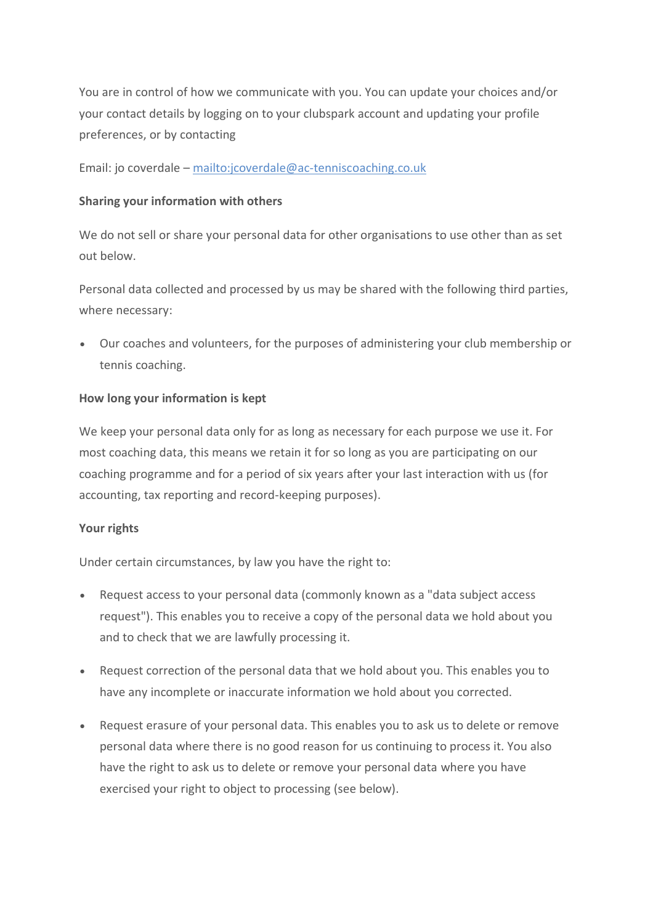You are in control of how we communicate with you. You can update your choices and/or your contact details by logging on to your clubspark account and updating your profile preferences, or by contacting

Email: jo coverdale – <mailto:jcoverdale@ac-tenniscoaching.co.uk>

#### **Sharing your information with others**

We do not sell or share your personal data for other organisations to use other than as set out below.

Personal data collected and processed by us may be shared with the following third parties, where necessary:

• Our coaches and volunteers, for the purposes of administering your club membership or tennis coaching.

# **How long your information is kept**

We keep your personal data only for as long as necessary for each purpose we use it. For most coaching data, this means we retain it for so long as you are participating on our coaching programme and for a period of six years after your last interaction with us (for accounting, tax reporting and record-keeping purposes).

#### **Your rights**

Under certain circumstances, by law you have the right to:

- Request access to your personal data (commonly known as a "data subject access request"). This enables you to receive a copy of the personal data we hold about you and to check that we are lawfully processing it.
- Request correction of the personal data that we hold about you. This enables you to have any incomplete or inaccurate information we hold about you corrected.
- Request erasure of your personal data. This enables you to ask us to delete or remove personal data where there is no good reason for us continuing to process it. You also have the right to ask us to delete or remove your personal data where you have exercised your right to object to processing (see below).